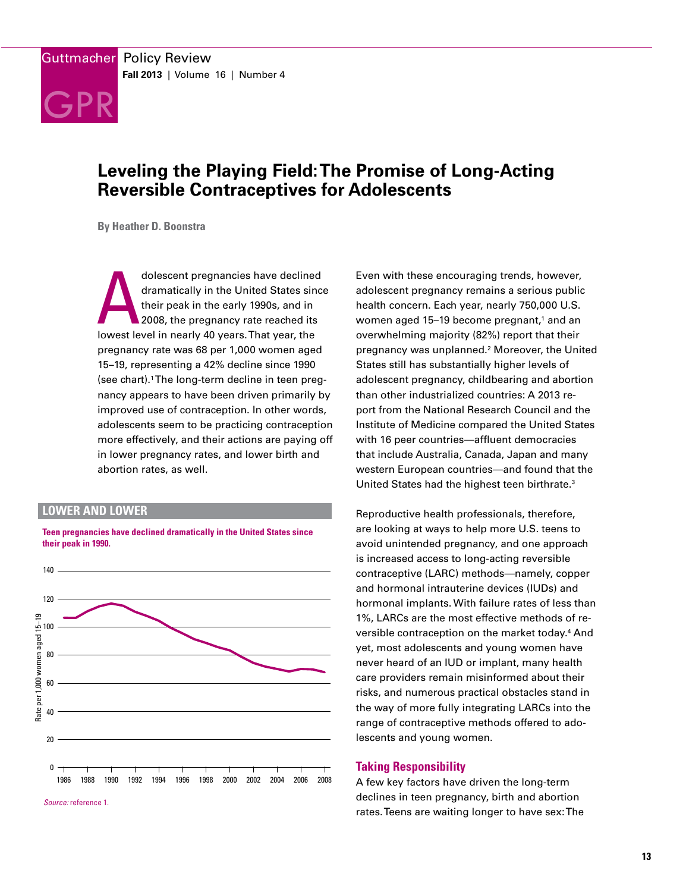

# **Leveling the Playing Field: The Promise of Long-Acting Reversible Contraceptives for Adolescents**

**By Heather D. Boonstra**

dolescent pregnancies have declined<br>dramatically in the United States sinc<br>their peak in the early 1990s, and in<br>2008, the pregnancy rate reached its<br>lowest level in nearly 40 years. That year, the dramatically in the United States since their peak in the early 1990s, and in 2008, the pregnancy rate reached its pregnancy rate was 68 per 1,000 women aged 15–19, representing a 42% decline since 1990 (see chart).1 The long-term decline in teen pregnancy appears to have been driven primarily by improved use of contraception. In other words, adolescents seem to be practicing contraception more effectively, and their actions are paying off in lower pregnancy rates, and lower birth and abortion rates, as well.

## **LOWER AND LOWER**



**Teen pregnancies have declined dramatically in the United States since their peak in 1990.**

Even with these encouraging trends, however, adolescent pregnancy remains a serious public health concern. Each year, nearly 750,000 U.S. women aged 15–19 become pregnant,<sup>1</sup> and an overwhelming majority (82%) report that their pregnancy was unplanned.2 Moreover, the United States still has substantially higher levels of adolescent pregnancy, childbearing and abortion than other industrialized countries: A 2013 report from the National Research Council and the Institute of Medicine compared the United States with 16 peer countries—affluent democracies that include Australia, Canada, Japan and many western European countries—and found that the United States had the highest teen birthrate.<sup>3</sup>

Reproductive health professionals, therefore, are looking at ways to help more U.S. teens to avoid unintended pregnancy, and one approach is increased access to long-acting reversible and hormonal intrauterine devices (IUDs) and hormonal implants. With failure rates of less than 1%, LARCs are the most effective methods of reversible contraception on the market today.<sup>4</sup> And yet, most adolescents and young women have never heard of an IUD or implant, many health care providers remain misinformed about their risks, and numerous practical obstacles stand in the way of more fully integrating LARCs into the range of contraceptive methods offered to adolescents and young women.

# **Taking Responsibility**

A few key factors have driven the long-term declines in teen pregnancy, birth and abortion rates. Teens are waiting longer to have sex: The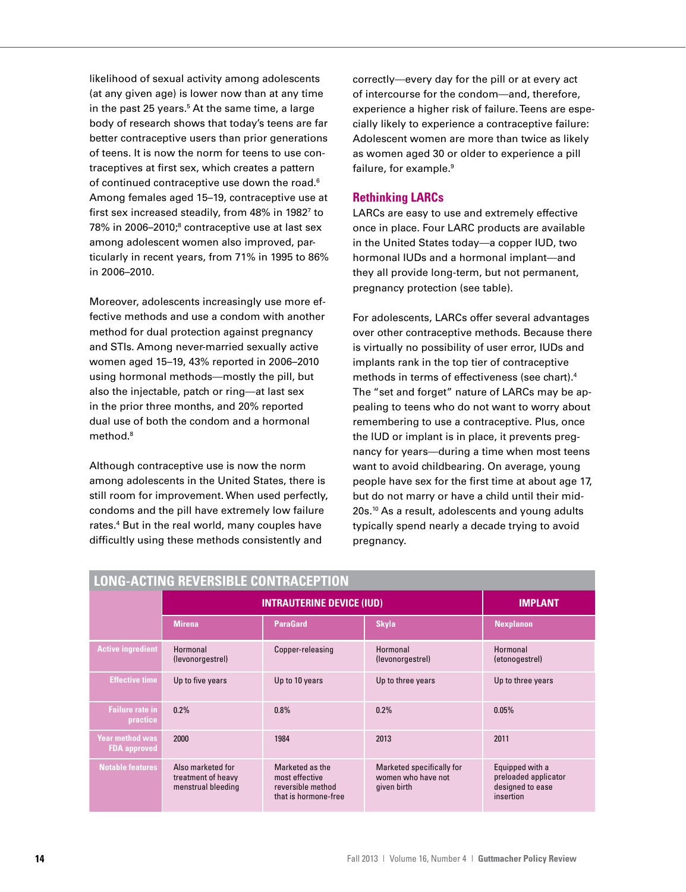likelihood of sexual activity among adolescents (at any given age) is lower now than at any time in the past 25 years.<sup>5</sup> At the same time, a large body of research shows that today's teens are far better contraceptive users than prior generations of teens. It is now the norm for teens to use contraceptives at first sex, which creates a pattern of continued contraceptive use down the road.<sup>6</sup> Among females aged 15–19, contraceptive use at first sex increased steadily, from 48% in 19827 to 78% in 2006–2010;<sup>8</sup> contraceptive use at last sex among adolescent women also improved, particularly in recent years, from 71% in 1995 to 86% in 2006–2010.

Moreover, adolescents increasingly use more effective methods and use a condom with another method for dual protection against pregnancy and STIs. Among never-married sexually active women aged 15–19, 43% reported in 2006–2010 using hormonal methods—mostly the pill, but also the injectable, patch or ring—at last sex in the prior three months, and 20% reported dual use of both the condom and a hormonal method.8

Although contraceptive use is now the norm among adolescents in the United States, there is still room for improvement. When used perfectly, condoms and the pill have extremely low failure rates.4 But in the real world, many couples have difficultly using these methods consistently and

correctly—every day for the pill or at every act of intercourse for the condom—and, therefore, experience a higher risk of failure. Teens are especially likely to experience a contraceptive failure: Adolescent women are more than twice as likely as women aged 30 or older to experience a pill failure, for example.<sup>9</sup>

# **Rethinking LARCs**

LARCs are easy to use and extremely effective once in place. Four LARC products are available in the United States today—a copper IUD, two hormonal IUDs and a hormonal implant—and they all provide long-term, but not permanent, pregnancy protection (see table).

For adolescents, LARCs offer several advantages over other contraceptive methods. Because there is virtually no possibility of user error, IUDs and implants rank in the top tier of contraceptive methods in terms of effectiveness (see chart).4 The "set and forget" nature of LARCs may be appealing to teens who do not want to worry about remembering to use a contraceptive. Plus, once the IUD or implant is in place, it prevents pregnancy for years—during a time when most teens want to avoid childbearing. On average, young people have sex for the first time at about age 17, but do not marry or have a child until their mid-20s.<sup>10</sup> As a result, adolescents and young adults typically spend nearly a decade trying to avoid pregnancy.

| <b>LONG-ACTING REVERSIBLE CONTRACEPTION</b>   |                                                               |                                                                                |                                                                |                                                                          |
|-----------------------------------------------|---------------------------------------------------------------|--------------------------------------------------------------------------------|----------------------------------------------------------------|--------------------------------------------------------------------------|
|                                               | <b>INTRAUTERINE DEVICE (IUD)</b>                              |                                                                                |                                                                | <b>IMPLANT</b>                                                           |
|                                               | <b>Mirena</b>                                                 | <b>ParaGard</b>                                                                | <b>Skyla</b>                                                   | <b>Nexplanon</b>                                                         |
| <b>Active ingredient</b>                      | Hormonal<br>(levonorgestrel)                                  | Copper-releasing                                                               | Hormonal<br>(levonorgestrel)                                   | Hormonal<br>(etonogestrel)                                               |
| <b>Effective time</b>                         | Up to five years                                              | Up to 10 years                                                                 | Up to three years                                              | Up to three years                                                        |
| <b>Failure rate in</b><br>practice            | 0.2%                                                          | 0.8%                                                                           | 0.2%                                                           | 0.05%                                                                    |
| <b>Year method was</b><br><b>FDA</b> approved | 2000                                                          | 1984                                                                           | 2013                                                           | 2011                                                                     |
| <b>Notable features</b>                       | Also marketed for<br>treatment of heavy<br>menstrual bleeding | Marketed as the<br>most effective<br>reversible method<br>that is hormone-free | Marketed specifically for<br>women who have not<br>given birth | Equipped with a<br>preloaded applicator<br>designed to ease<br>insertion |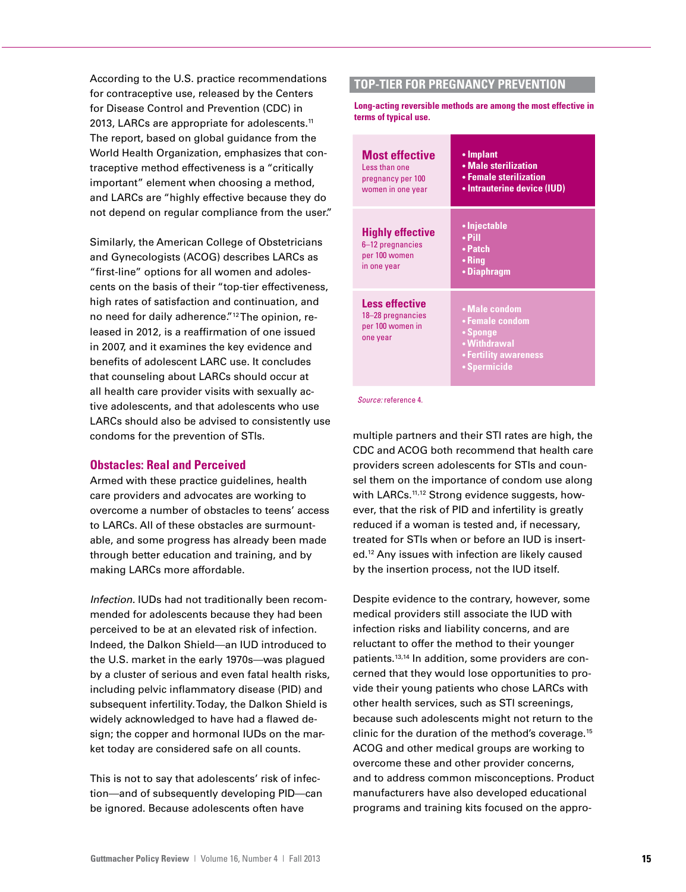According to the U.S. practice recommendations for contraceptive use, released by the Centers for Disease Control and Prevention (CDC) in 2013, LARCs are appropriate for adolescents.<sup>11</sup> The report, based on global guidance from the World Health Organization, emphasizes that contraceptive method effectiveness is a "critically important" element when choosing a method, and LARCs are "highly effective because they do not depend on regular compliance from the user."

Similarly, the American College of Obstetricians and Gynecologists (ACOG) describes LARCs as "first-line" options for all women and adolescents on the basis of their "top-tier effectiveness, high rates of satisfaction and continuation, and no need for daily adherence."12 The opinion, released in 2012, is a reaffirmation of one issued in 2007, and it examines the key evidence and benefits of adolescent LARC use. It concludes that counseling about LARCs should occur at all health care provider visits with sexually active adolescents, and that adolescents who use LARCs should also be advised to consistently use condoms for the prevention of STIs.

### **Obstacles: Real and Perceived**

Armed with these practice guidelines, health care providers and advocates are working to overcome a number of obstacles to teens' access to LARCs. All of these obstacles are surmountable, and some progress has already been made through better education and training, and by making LARCs more affordable.

*Infection.* IUDs had not traditionally been recommended for adolescents because they had been perceived to be at an elevated risk of infection. Indeed, the Dalkon Shield—an IUD introduced to the U.S. market in the early 1970s—was plagued by a cluster of serious and even fatal health risks, including pelvic inflammatory disease (PID) and subsequent infertility. Today, the Dalkon Shield is widely acknowledged to have had a flawed design; the copper and hormonal IUDs on the market today are considered safe on all counts.

This is not to say that adolescents' risk of infection—and of subsequently developing PID—can be ignored. Because adolescents often have

# **TOP-TIER FOR PREGNANCY PREVENTION**

**Long-acting reversible methods are among the most effective in terms of typical use.**

| <b>Most effective</b><br>Less than one<br>pregnancy per 100<br>women in one year | • Implant<br>• Male sterilization<br>• Female sterilization<br>• Intrauterine device (IUD)            |  |
|----------------------------------------------------------------------------------|-------------------------------------------------------------------------------------------------------|--|
| <b>Highly effective</b><br>6-12 pregnancies<br>per 100 women<br>in one year      | • Injectable<br>$\cdot$ Pill<br>• Patch<br>• Ring<br>• Diaphragm                                      |  |
| <b>Less effective</b><br>18-28 pregnancies<br>per 100 women in<br>one year       | • Male condom<br>• Female condom<br>• Sponge<br>• Withdrawal<br>• Fertility awareness<br>• Spermicide |  |

*Source:* reference 4.

multiple partners and their STI rates are high, the CDC and ACOG both recommend that health care providers screen adolescents for STIs and counsel them on the importance of condom use along with LARCs.<sup>11,12</sup> Strong evidence suggests, however, that the risk of PID and infertility is greatly reduced if a woman is tested and, if necessary, treated for STIs when or before an IUD is inserted.12 Any issues with infection are likely caused by the insertion process, not the IUD itself.

Despite evidence to the contrary, however, some medical providers still associate the IUD with infection risks and liability concerns, and are reluctant to offer the method to their younger patients.13,14 In addition, some providers are concerned that they would lose opportunities to provide their young patients who chose LARCs with other health services, such as STI screenings, because such adolescents might not return to the clinic for the duration of the method's coverage.15 ACOG and other medical groups are working to overcome these and other provider concerns, and to address common misconceptions. Product manufacturers have also developed educational programs and training kits focused on the appro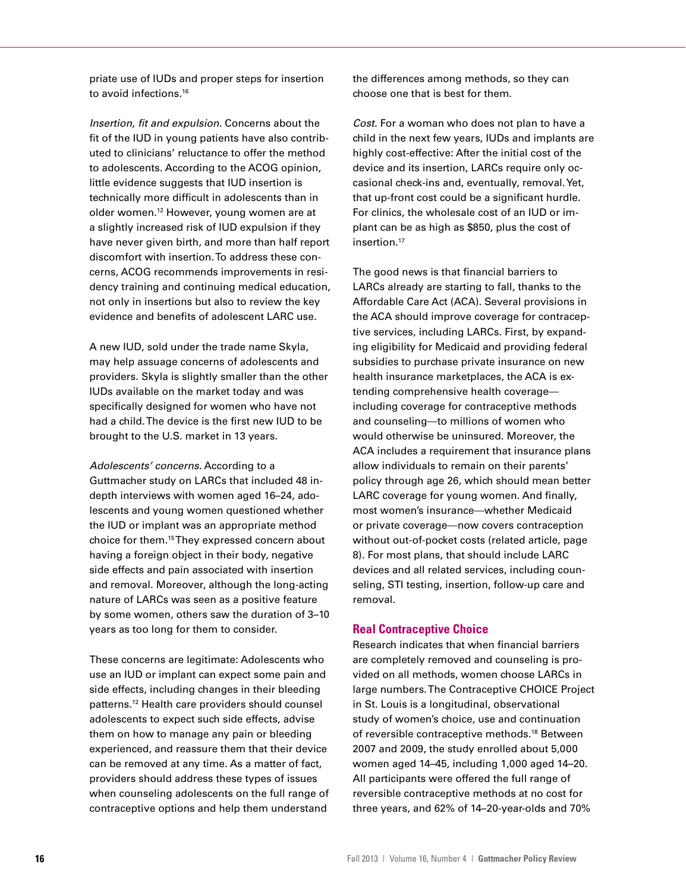priate use of IUDs and proper steps for insertion to avoid infections.<sup>16</sup>

*Insertion, fit and expulsion.* Concerns about the fit of the IUD in young patients have also contributed to clinicians' reluctance to offer the method to adolescents. According to the ACOG opinion, little evidence suggests that IUD insertion is technically more difficult in adolescents than in older women.12 However, young women are at a slightly increased risk of IUD expulsion if they have never given birth, and more than half report discomfort with insertion. To address these concerns, ACOG recommends improvements in residency training and continuing medical education, not only in insertions but also to review the key evidence and benefits of adolescent LARC use.

A new IUD, sold under the trade name Skyla, may help assuage concerns of adolescents and providers. Skyla is slightly smaller than the other IUDs available on the market today and was specifically designed for women who have not had a child. The device is the first new IUD to be brought to the U.S. market in 13 years.

*Adolescents' concerns.* According to a Guttmacher study on LARCs that included 48 indepth interviews with women aged 16–24, adolescents and young women questioned whether the IUD or implant was an appropriate method choice for them.15 They expressed concern about having a foreign object in their body, negative side effects and pain associated with insertion and removal. Moreover, although the long-acting nature of LARCs was seen as a positive feature by some women, others saw the duration of 3–10 years as too long for them to consider.

These concerns are legitimate: Adolescents who use an IUD or implant can expect some pain and side effects, including changes in their bleeding patterns.12 Health care providers should counsel adolescents to expect such side effects, advise them on how to manage any pain or bleeding experienced, and reassure them that their device can be removed at any time. As a matter of fact, providers should address these types of issues when counseling adolescents on the full range of contraceptive options and help them understand

the differences among methods, so they can choose one that is best for them.

*Cost.* For a woman who does not plan to have a child in the next few years, IUDs and implants are highly cost-effective: After the initial cost of the device and its insertion, LARCs require only occasional check-ins and, eventually, removal. Yet, that up-front cost could be a significant hurdle. For clinics, the wholesale cost of an IUD or implant can be as high as \$850, plus the cost of insertion.<sup>17</sup>

The good news is that financial barriers to LARCs already are starting to fall, thanks to the Affordable Care Act (ACA). Several provisions in the ACA should improve coverage for contraceptive services, including LARCs. First, by expanding eligibility for Medicaid and providing federal subsidies to purchase private insurance on new health insurance marketplaces, the ACA is extending comprehensive health coverage including coverage for contraceptive methods and counseling—to millions of women who would otherwise be uninsured. Moreover, the ACA includes a requirement that insurance plans allow individuals to remain on their parents' policy through age 26, which should mean better LARC coverage for young women. And finally, most women's insurance—whether Medicaid or private coverage—now covers contraception without out-of-pocket costs (related article, page 8). For most plans, that should include LARC devices and all related services, including counseling, STI testing, insertion, follow-up care and removal.

### **Real Contraceptive Choice**

Research indicates that when financial barriers are completely removed and counseling is provided on all methods, women choose LARCs in large numbers. The Contraceptive CHOICE Project in St. Louis is a longitudinal, observational study of women's choice, use and continuation of reversible contraceptive methods.18 Between 2007 and 2009, the study enrolled about 5,000 women aged 14–45, including 1,000 aged 14–20. All participants were offered the full range of reversible contraceptive methods at no cost for three years, and 62% of 14–20-year-olds and 70%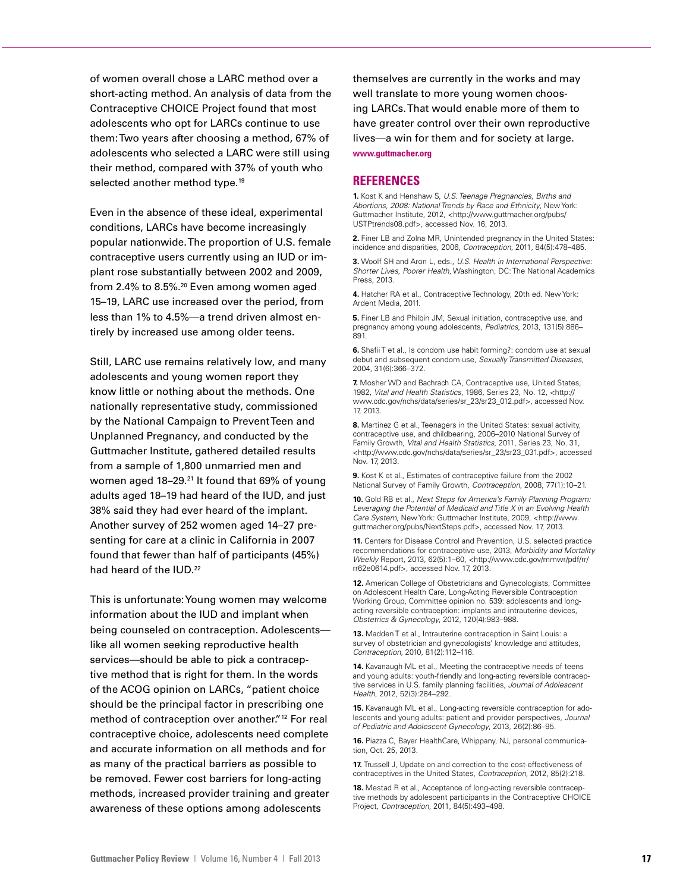of women overall chose a LARC method over a short-acting method. An analysis of data from the Contraceptive CHOICE Project found that most adolescents who opt for LARCs continue to use them: Two years after choosing a method, 67% of adolescents who selected a LARC were still using their method, compared with 37% of youth who selected another method type.<sup>19</sup>

Even in the absence of these ideal, experimental conditions, LARCs have become increasingly popular nationwide. The proportion of U.S. female contraceptive users currently using an IUD or implant rose substantially between 2002 and 2009, from 2.4% to 8.5%.20 Even among women aged 15–19, LARC use increased over the period, from less than 1% to 4.5%—a trend driven almost entirely by increased use among older teens.

Still, LARC use remains relatively low, and many adolescents and young women report they know little or nothing about the methods. One nationally representative study, commissioned by the National Campaign to Prevent Teen and Unplanned Pregnancy, and conducted by the Guttmacher Institute, gathered detailed results from a sample of 1,800 unmarried men and women aged 18-29.<sup>21</sup> It found that 69% of young adults aged 18–19 had heard of the IUD, and just 38% said they had ever heard of the implant. Another survey of 252 women aged 14–27 presenting for care at a clinic in California in 2007 found that fewer than half of participants (45%) had heard of the IUD.<sup>22</sup>

This is unfortunate: Young women may welcome information about the IUD and implant when being counseled on contraception. Adolescents like all women seeking reproductive health services—should be able to pick a contraceptive method that is right for them. In the words of the ACOG opinion on LARCs, "patient choice should be the principal factor in prescribing one method of contraception over another."12 For real contraceptive choice, adolescents need complete and accurate information on all methods and for as many of the practical barriers as possible to be removed. Fewer cost barriers for long-acting methods, increased provider training and greater awareness of these options among adolescents

themselves are currently in the works and may well translate to more young women choosing LARCs. That would enable more of them to have greater control over their own reproductive lives—a win for them and for society at large. **www.guttmacher.org**

### **REFERENCES**

**1.** Kost K and Henshaw S, *U.S. Teenage Pregnancies, Births and Abortions, 2008: National Trends by Race and Ethnicity*, New York: Guttmacher Institute, 2012, <http://www.guttmacher.org/pubs/ USTPtrends08.pdf>, accessed Nov. 16, 2013.

**2.** Finer LB and Zolna MR, Unintended pregnancy in the United States: incidence and disparities, 2006, *Contraception*, 2011, 84(5):478–485.

**3.** Woolf SH and Aron L, eds., *U.S. Health in International Perspective: Shorter Lives, Poorer Health*, Washington, DC: The National Academics Press, 2013.

**4.** Hatcher RA et al., Contraceptive Technology, 20th ed. New York: Ardent Media, 2011.

**5.** Finer LB and Philbin JM, Sexual initiation, contraceptive use, and pregnancy among young adolescents, *Pediatrics,* 2013, 131(5):886– 891.

**6.** Shafii T et al., Is condom use habit forming?: condom use at sexual debut and subsequent condom use, *Sexually Transmitted Diseases*, 2004, 31(6):366–372.

**7.** Mosher WD and Bachrach CA, Contraceptive use, United States, 1982, *Vital and Health Statistics*, 1986, Series 23, No. 12, <http:// www.cdc.gov/nchs/data/series/sr\_23/sr23\_012.pdf>, accessed Nov. 17, 2013.

**8.** Martinez G et al., Teenagers in the United States: sexual activity, contraceptive use, and childbearing, 2006–2010 National Survey of Family Growth, *Vital and Health Statistics*, 2011, Series 23, No. 31, <http://www.cdc.gov/nchs/data/series/sr\_23/sr23\_031.pdf>, accessed Nov. 17, 2013.

**9.** Kost K et al., Estimates of contraceptive failure from the 2002 National Survey of Family Growth, *Contraception*, 2008, 77(1):10–21.

**10.** Gold RB et al., *Next Steps for America's Family Planning Program: Leveraging the Potential of Medicaid and Title X in an Evolving Health Care System*, New York: Guttmacher Institute, 2009, <http://www. guttmacher.org/pubs/NextSteps.pdf>, accessed Nov. 17, 2013.

**11.** Centers for Disease Control and Prevention, U.S. selected practice recommendations for contraceptive use, 2013, *Morbidity and Mortality Weekly* Report, 2013, 62(5):1–60, <http://www.cdc.gov/mmwr/pdf/rr/ rr62e0614.pdf>, accessed Nov. 17, 2013.

**12.** American College of Obstetricians and Gynecologists, Committee on Adolescent Health Care, Long-Acting Reversible Contraception Working Group, Committee opinion no. 539: adolescents and longacting reversible contraception: implants and intrauterine devices, *Obstetrics & Gynecology*, 2012, 120(4):983–988.

**13.** Madden T et al., Intrauterine contraception in Saint Louis: a survey of obstetrician and gynecologists' knowledge and attitudes, *Contraception*, 2010, 81(2):112–116.

14. Kavanaugh ML et al., Meeting the contraceptive needs of teens and young adults: youth-friendly and long-acting reversible contraceptive services in U.S. family planning facilities, *Journal of Adolescent Health*, 2012, 52(3):284–292.

**15.** Kavanaugh ML et al., Long-acting reversible contraception for adolescents and young adults: patient and provider perspectives, *Journal of Pediatric and Adolescent Gynecology*, 2013, 26(2):86–95.

**16.** Piazza C, Bayer HealthCare, Whippany, NJ, personal communication, Oct. 25, 2013.

**17.** Trussell J. Update on and correction to the cost-effectiveness of contraceptives in the United States, *Contraception*, 2012, 85(2):218.

**18.** Mestad R et al., Acceptance of long-acting reversible contraceptive methods by adolescent participants in the Contraceptive CHOICE Project, *Contraception*, 2011, 84(5):493–498.